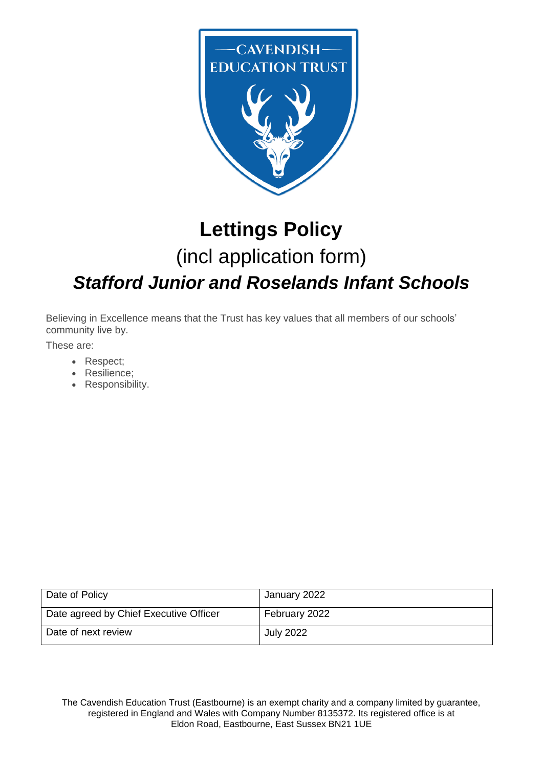

# **Lettings Policy** (incl application form) *Stafford Junior and Roselands Infant Schools*

Believing in Excellence means that the Trust has key values that all members of our schools' community live by.

These are:

- Respect;
- Resilience;
- Responsibility.

| Date of Policy                         | January 2022     |
|----------------------------------------|------------------|
| Date agreed by Chief Executive Officer | February 2022    |
| Date of next review                    | <b>July 2022</b> |

The Cavendish Education Trust (Eastbourne) is an exempt charity and a company limited by guarantee, registered in England and Wales with Company Number 8135372. Its registered office is at Eldon Road, Eastbourne, East Sussex BN21 1UE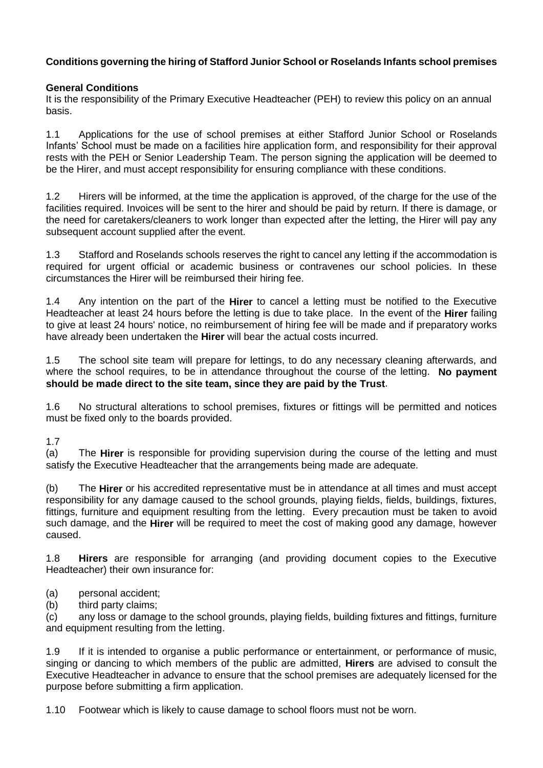#### **Conditions governing the hiring of Stafford Junior School or Roselands Infants school premises**

#### **General Conditions**

It is the responsibility of the Primary Executive Headteacher (PEH) to review this policy on an annual basis.

1.1 Applications for the use of school premises at either Stafford Junior School or Roselands Infants' School must be made on a facilities hire application form, and responsibility for their approval rests with the PEH or Senior Leadership Team. The person signing the application will be deemed to be the Hirer, and must accept responsibility for ensuring compliance with these conditions.

1.2 Hirers will be informed, at the time the application is approved, of the charge for the use of the facilities required. Invoices will be sent to the hirer and should be paid by return. If there is damage, or the need for caretakers/cleaners to work longer than expected after the letting, the Hirer will pay any subsequent account supplied after the event.

1.3 Stafford and Roselands schools reserves the right to cancel any letting if the accommodation is required for urgent official or academic business or contravenes our school policies. In these circumstances the Hirer will be reimbursed their hiring fee.

1.4 Any intention on the part of the **Hirer** to cancel a letting must be notified to the Executive Headteacher at least 24 hours before the letting is due to take place. In the event of the **Hirer** failing to give at least 24 hours' notice, no reimbursement of hiring fee will be made and if preparatory works have already been undertaken the **Hirer** will bear the actual costs incurred.

1.5 The school site team will prepare for lettings, to do any necessary cleaning afterwards, and where the school requires, to be in attendance throughout the course of the letting. **No payment should be made direct to the site team, since they are paid by the Trust**.

1.6 No structural alterations to school premises, fixtures or fittings will be permitted and notices must be fixed only to the boards provided.

1.7

(a) The **Hirer** is responsible for providing supervision during the course of the letting and must satisfy the Executive Headteacher that the arrangements being made are adequate.

(b) The **Hirer** or his accredited representative must be in attendance at all times and must accept responsibility for any damage caused to the school grounds, playing fields, fields, buildings, fixtures, fittings, furniture and equipment resulting from the letting. Every precaution must be taken to avoid such damage, and the **Hirer** will be required to meet the cost of making good any damage, however caused.

1.8 **Hirers** are responsible for arranging (and providing document copies to the Executive Headteacher) their own insurance for:

- (a) personal accident;
- (b) third party claims;

(c) any loss or damage to the school grounds, playing fields, building fixtures and fittings, furniture and equipment resulting from the letting.

1.9 If it is intended to organise a public performance or entertainment, or performance of music, singing or dancing to which members of the public are admitted, **Hirers** are advised to consult the Executive Headteacher in advance to ensure that the school premises are adequately licensed for the purpose before submitting a firm application.

1.10 Footwear which is likely to cause damage to school floors must not be worn.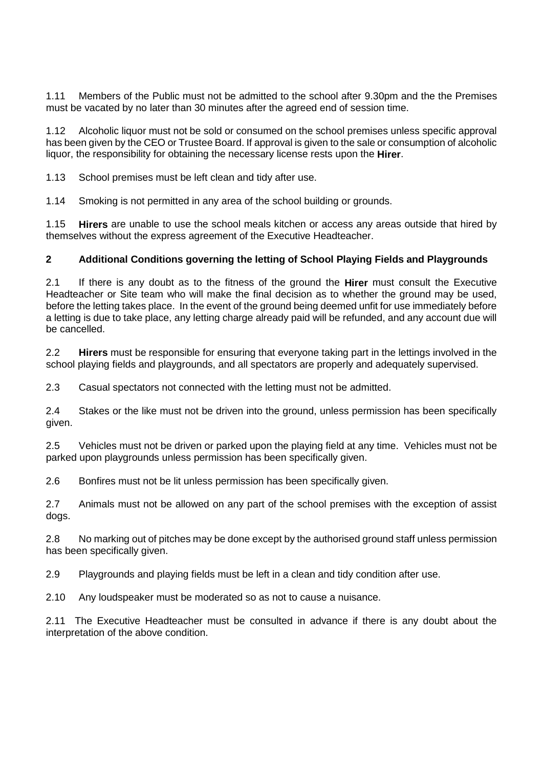1.11 Members of the Public must not be admitted to the school after 9.30pm and the the Premises must be vacated by no later than 30 minutes after the agreed end of session time.

1.12 Alcoholic liquor must not be sold or consumed on the school premises unless specific approval has been given by the CEO or Trustee Board. If approval is given to the sale or consumption of alcoholic liquor, the responsibility for obtaining the necessary license rests upon the **Hirer**.

1.13 School premises must be left clean and tidy after use.

1.14 Smoking is not permitted in any area of the school building or grounds.

1.15 **Hirers** are unable to use the school meals kitchen or access any areas outside that hired by themselves without the express agreement of the Executive Headteacher.

#### **2 Additional Conditions governing the letting of School Playing Fields and Playgrounds**

2.1 If there is any doubt as to the fitness of the ground the **Hirer** must consult the Executive Headteacher or Site team who will make the final decision as to whether the ground may be used, before the letting takes place. In the event of the ground being deemed unfit for use immediately before a letting is due to take place, any letting charge already paid will be refunded, and any account due will be cancelled.

2.2 **Hirers** must be responsible for ensuring that everyone taking part in the lettings involved in the school playing fields and playgrounds, and all spectators are properly and adequately supervised.

2.3 Casual spectators not connected with the letting must not be admitted.

2.4 Stakes or the like must not be driven into the ground, unless permission has been specifically given.

2.5 Vehicles must not be driven or parked upon the playing field at any time. Vehicles must not be parked upon playgrounds unless permission has been specifically given.

2.6 Bonfires must not be lit unless permission has been specifically given.

2.7 Animals must not be allowed on any part of the school premises with the exception of assist dogs.

2.8 No marking out of pitches may be done except by the authorised ground staff unless permission has been specifically given.

2.9 Playgrounds and playing fields must be left in a clean and tidy condition after use.

2.10 Any loudspeaker must be moderated so as not to cause a nuisance.

2.11 The Executive Headteacher must be consulted in advance if there is any doubt about the interpretation of the above condition.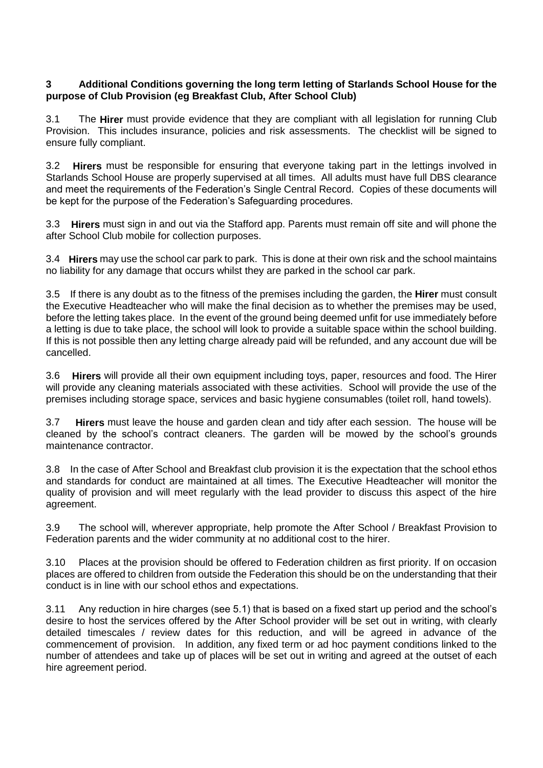#### **3 Additional Conditions governing the long term letting of Starlands School House for the purpose of Club Provision (eg Breakfast Club, After School Club)**

3.1 The **Hirer** must provide evidence that they are compliant with all legislation for running Club Provision. This includes insurance, policies and risk assessments. The checklist will be signed to ensure fully compliant.

3.2 **Hirers** must be responsible for ensuring that everyone taking part in the lettings involved in Starlands School House are properly supervised at all times. All adults must have full DBS clearance and meet the requirements of the Federation's Single Central Record. Copies of these documents will be kept for the purpose of the Federation's Safeguarding procedures.

3.3 **Hirers** must sign in and out via the Stafford app. Parents must remain off site and will phone the after School Club mobile for collection purposes.

3.4 **Hirers** may use the school car park to park. This is done at their own risk and the school maintains no liability for any damage that occurs whilst they are parked in the school car park.

3.5 If there is any doubt as to the fitness of the premises including the garden, the **Hirer** must consult the Executive Headteacher who will make the final decision as to whether the premises may be used, before the letting takes place. In the event of the ground being deemed unfit for use immediately before a letting is due to take place, the school will look to provide a suitable space within the school building. If this is not possible then any letting charge already paid will be refunded, and any account due will be cancelled.

3.6 **Hirers** will provide all their own equipment including toys, paper, resources and food. The Hirer will provide any cleaning materials associated with these activities. School will provide the use of the premises including storage space, services and basic hygiene consumables (toilet roll, hand towels).

3.7 **Hirers** must leave the house and garden clean and tidy after each session. The house will be cleaned by the school's contract cleaners. The garden will be mowed by the school's grounds maintenance contractor.

3.8 In the case of After School and Breakfast club provision it is the expectation that the school ethos and standards for conduct are maintained at all times. The Executive Headteacher will monitor the quality of provision and will meet regularly with the lead provider to discuss this aspect of the hire agreement.

3.9 The school will, wherever appropriate, help promote the After School / Breakfast Provision to Federation parents and the wider community at no additional cost to the hirer.

3.10 Places at the provision should be offered to Federation children as first priority. If on occasion places are offered to children from outside the Federation this should be on the understanding that their conduct is in line with our school ethos and expectations.

3.11 Any reduction in hire charges (see 5.1) that is based on a fixed start up period and the school's desire to host the services offered by the After School provider will be set out in writing, with clearly detailed timescales / review dates for this reduction, and will be agreed in advance of the commencement of provision. In addition, any fixed term or ad hoc payment conditions linked to the number of attendees and take up of places will be set out in writing and agreed at the outset of each hire agreement period.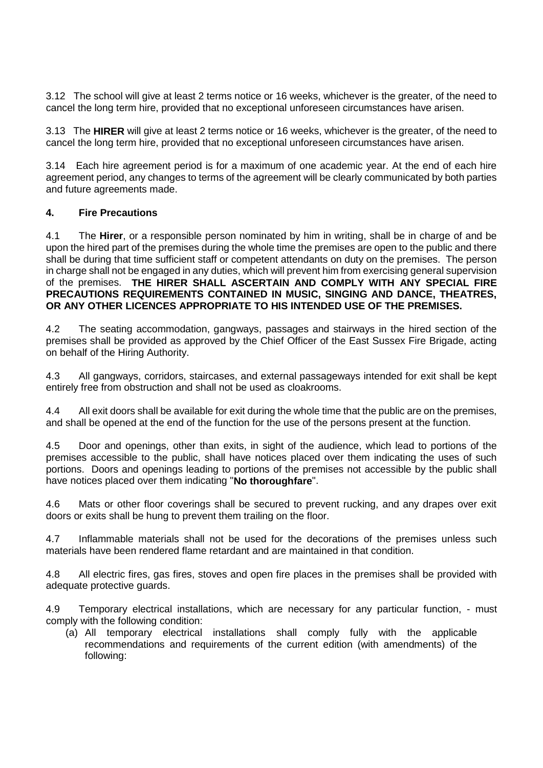3.12 The school will give at least 2 terms notice or 16 weeks, whichever is the greater, of the need to cancel the long term hire, provided that no exceptional unforeseen circumstances have arisen.

3.13 The **HIRER** will give at least 2 terms notice or 16 weeks, whichever is the greater, of the need to cancel the long term hire, provided that no exceptional unforeseen circumstances have arisen.

3.14 Each hire agreement period is for a maximum of one academic year. At the end of each hire agreement period, any changes to terms of the agreement will be clearly communicated by both parties and future agreements made.

#### **4. Fire Precautions**

4.1 The **Hirer**, or a responsible person nominated by him in writing, shall be in charge of and be upon the hired part of the premises during the whole time the premises are open to the public and there shall be during that time sufficient staff or competent attendants on duty on the premises. The person in charge shall not be engaged in any duties, which will prevent him from exercising general supervision of the premises. **THE HIRER SHALL ASCERTAIN AND COMPLY WITH ANY SPECIAL FIRE PRECAUTIONS REQUIREMENTS CONTAINED IN MUSIC, SINGING AND DANCE, THEATRES, OR ANY OTHER LICENCES APPROPRIATE TO HIS INTENDED USE OF THE PREMISES.**

4.2 The seating accommodation, gangways, passages and stairways in the hired section of the premises shall be provided as approved by the Chief Officer of the East Sussex Fire Brigade, acting on behalf of the Hiring Authority.

4.3 All gangways, corridors, staircases, and external passageways intended for exit shall be kept entirely free from obstruction and shall not be used as cloakrooms.

4.4 All exit doors shall be available for exit during the whole time that the public are on the premises, and shall be opened at the end of the function for the use of the persons present at the function.

4.5 Door and openings, other than exits, in sight of the audience, which lead to portions of the premises accessible to the public, shall have notices placed over them indicating the uses of such portions. Doors and openings leading to portions of the premises not accessible by the public shall have notices placed over them indicating "**No thoroughfare**".

4.6 Mats or other floor coverings shall be secured to prevent rucking, and any drapes over exit doors or exits shall be hung to prevent them trailing on the floor.

4.7 Inflammable materials shall not be used for the decorations of the premises unless such materials have been rendered flame retardant and are maintained in that condition.

4.8 All electric fires, gas fires, stoves and open fire places in the premises shall be provided with adequate protective guards.

4.9 Temporary electrical installations, which are necessary for any particular function, - must comply with the following condition:

(a) All temporary electrical installations shall comply fully with the applicable recommendations and requirements of the current edition (with amendments) of the following: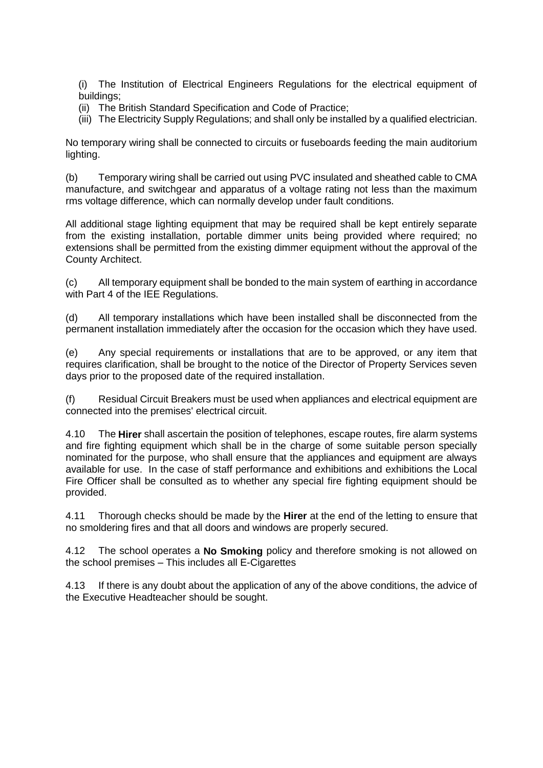(i) The Institution of Electrical Engineers Regulations for the electrical equipment of buildings;

- (ii) The British Standard Specification and Code of Practice;
- (iii) The Electricity Supply Regulations; and shall only be installed by a qualified electrician.

No temporary wiring shall be connected to circuits or fuseboards feeding the main auditorium lighting.

(b) Temporary wiring shall be carried out using PVC insulated and sheathed cable to CMA manufacture, and switchgear and apparatus of a voltage rating not less than the maximum rms voltage difference, which can normally develop under fault conditions.

All additional stage lighting equipment that may be required shall be kept entirely separate from the existing installation, portable dimmer units being provided where required; no extensions shall be permitted from the existing dimmer equipment without the approval of the County Architect.

(c) All temporary equipment shall be bonded to the main system of earthing in accordance with Part 4 of the IEE Regulations.

(d) All temporary installations which have been installed shall be disconnected from the permanent installation immediately after the occasion for the occasion which they have used.

(e) Any special requirements or installations that are to be approved, or any item that requires clarification, shall be brought to the notice of the Director of Property Services seven days prior to the proposed date of the required installation.

(f) Residual Circuit Breakers must be used when appliances and electrical equipment are connected into the premises' electrical circuit.

4.10 The **Hirer** shall ascertain the position of telephones, escape routes, fire alarm systems and fire fighting equipment which shall be in the charge of some suitable person specially nominated for the purpose, who shall ensure that the appliances and equipment are always available for use. In the case of staff performance and exhibitions and exhibitions the Local Fire Officer shall be consulted as to whether any special fire fighting equipment should be provided.

4.11 Thorough checks should be made by the **Hirer** at the end of the letting to ensure that no smoldering fires and that all doors and windows are properly secured.

4.12 The school operates a **No Smoking** policy and therefore smoking is not allowed on the school premises – This includes all E-Cigarettes

4.13 If there is any doubt about the application of any of the above conditions, the advice of the Executive Headteacher should be sought.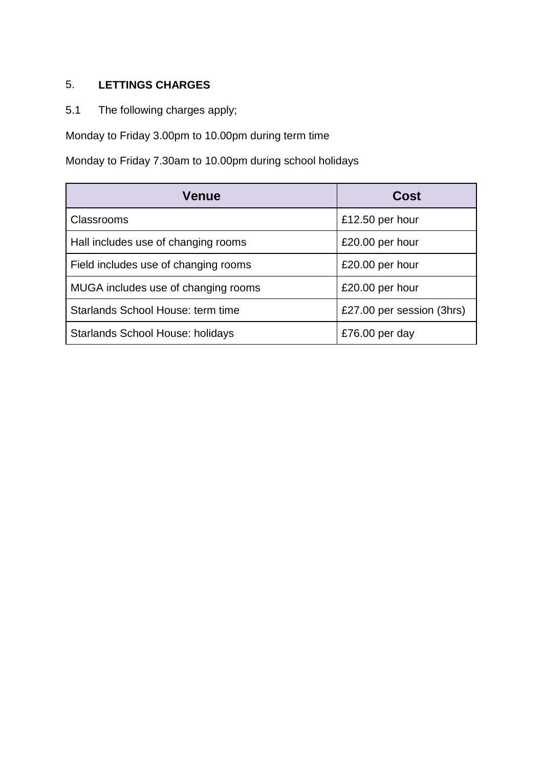### 5. **LETTINGS CHARGES**

5.1 The following charges apply;

Monday to Friday 3.00pm to 10.00pm during term time

Monday to Friday 7.30am to 10.00pm during school holidays

| <b>Venue</b>                            | Cost                      |
|-----------------------------------------|---------------------------|
| <b>Classrooms</b>                       | £12.50 per hour           |
| Hall includes use of changing rooms     | £20.00 per hour           |
| Field includes use of changing rooms    | £20.00 per hour           |
| MUGA includes use of changing rooms     | £20.00 per hour           |
| Starlands School House: term time       | £27.00 per session (3hrs) |
| <b>Starlands School House: holidays</b> | £76.00 per day            |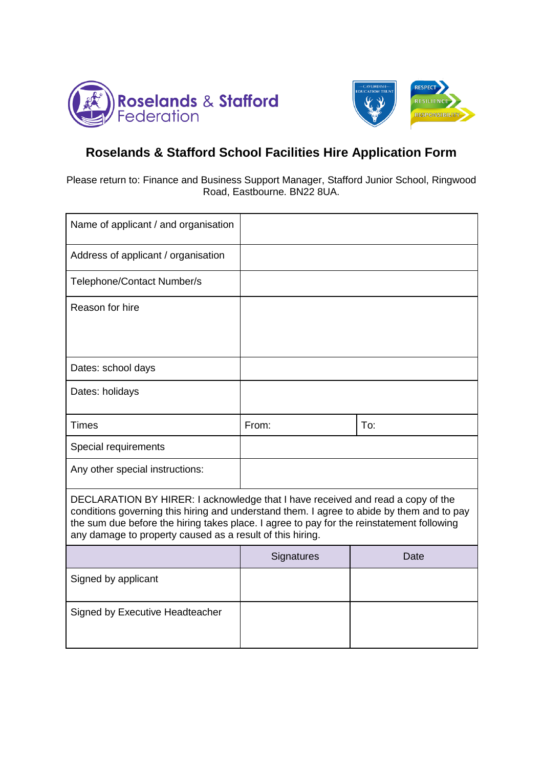



## **Roselands & Stafford School Facilities Hire Application Form**

Please return to: Finance and Business Support Manager, Stafford Junior School, Ringwood Road, Eastbourne. BN22 8UA.

| Name of applicant / and organisation                                                                                                                                                                                                                                                                                                   |            |      |
|----------------------------------------------------------------------------------------------------------------------------------------------------------------------------------------------------------------------------------------------------------------------------------------------------------------------------------------|------------|------|
| Address of applicant / organisation                                                                                                                                                                                                                                                                                                    |            |      |
| Telephone/Contact Number/s                                                                                                                                                                                                                                                                                                             |            |      |
| Reason for hire                                                                                                                                                                                                                                                                                                                        |            |      |
|                                                                                                                                                                                                                                                                                                                                        |            |      |
| Dates: school days                                                                                                                                                                                                                                                                                                                     |            |      |
| Dates: holidays                                                                                                                                                                                                                                                                                                                        |            |      |
| Times                                                                                                                                                                                                                                                                                                                                  | From:      | To:  |
| Special requirements                                                                                                                                                                                                                                                                                                                   |            |      |
| Any other special instructions:                                                                                                                                                                                                                                                                                                        |            |      |
| DECLARATION BY HIRER: I acknowledge that I have received and read a copy of the<br>conditions governing this hiring and understand them. I agree to abide by them and to pay<br>the sum due before the hiring takes place. I agree to pay for the reinstatement following<br>any damage to property caused as a result of this hiring. |            |      |
|                                                                                                                                                                                                                                                                                                                                        | Signatures | Date |
| Signed by applicant                                                                                                                                                                                                                                                                                                                    |            |      |
| Signed by Executive Headteacher                                                                                                                                                                                                                                                                                                        |            |      |